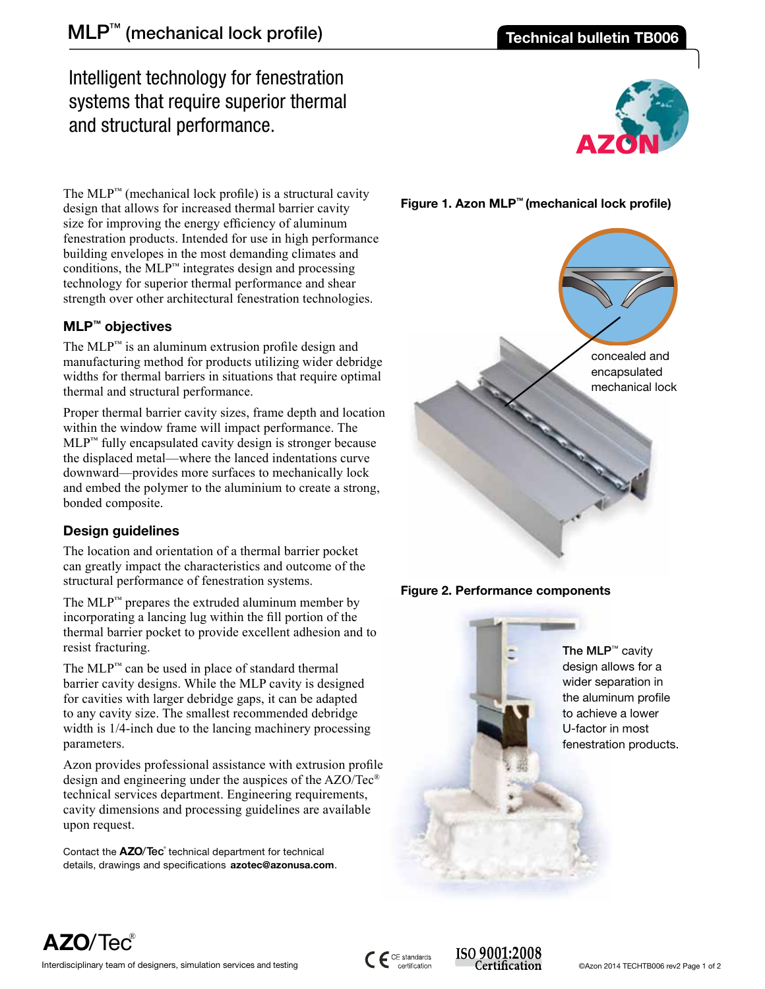# Intelligent technology for fenestration systems that require superior thermal and structural performance.



The  $MLP<sup>™</sup>$  (mechanical lock profile) is a structural cavity design that allows for increased thermal barrier cavity size for improving the energy efficiency of aluminum fenestration products. Intended for use in high performance building envelopes in the most demanding climates and conditions, the  $MLP<sup>™</sup>$  integrates design and processing technology for superior thermal performance and shear strength over other architectural fenestration technologies.

# **MLP™ objectives**

The  $MLP<sup>m</sup>$  is an aluminum extrusion profile design and manufacturing method for products utilizing wider debridge widths for thermal barriers in situations that require optimal thermal and structural performance.

Proper thermal barrier cavity sizes, frame depth and location within the window frame will impact performance. The MLP™ fully encapsulated cavity design is stronger because the displaced metal—where the lanced indentations curve downward—provides more surfaces to mechanically lock and embed the polymer to the aluminium to create a strong, bonded composite.

# **Design guidelines**

The location and orientation of a thermal barrier pocket can greatly impact the characteristics and outcome of the structural performance of fenestration systems.

The MLP<sup>™</sup> prepares the extruded aluminum member by incorporating a lancing lug within the fill portion of the thermal barrier pocket to provide excellent adhesion and to resist fracturing.

The MLP™ can be used in place of standard thermal barrier cavity designs. While the MLP cavity is designed for cavities with larger debridge gaps, it can be adapted to any cavity size. The smallest recommended debridge width is 1/4-inch due to the lancing machinery processing parameters.

Azon provides professional assistance with extrusion profile design and engineering under the auspices of the AZO/Tec® technical services department. Engineering requirements, cavity dimensions and processing guidelines are available upon request.

Contact the **AZO**/Tec<sup>®</sup> technical department for technical details, drawings and specifications **azotec@azonusa.com**.









**AZO**/Tec®